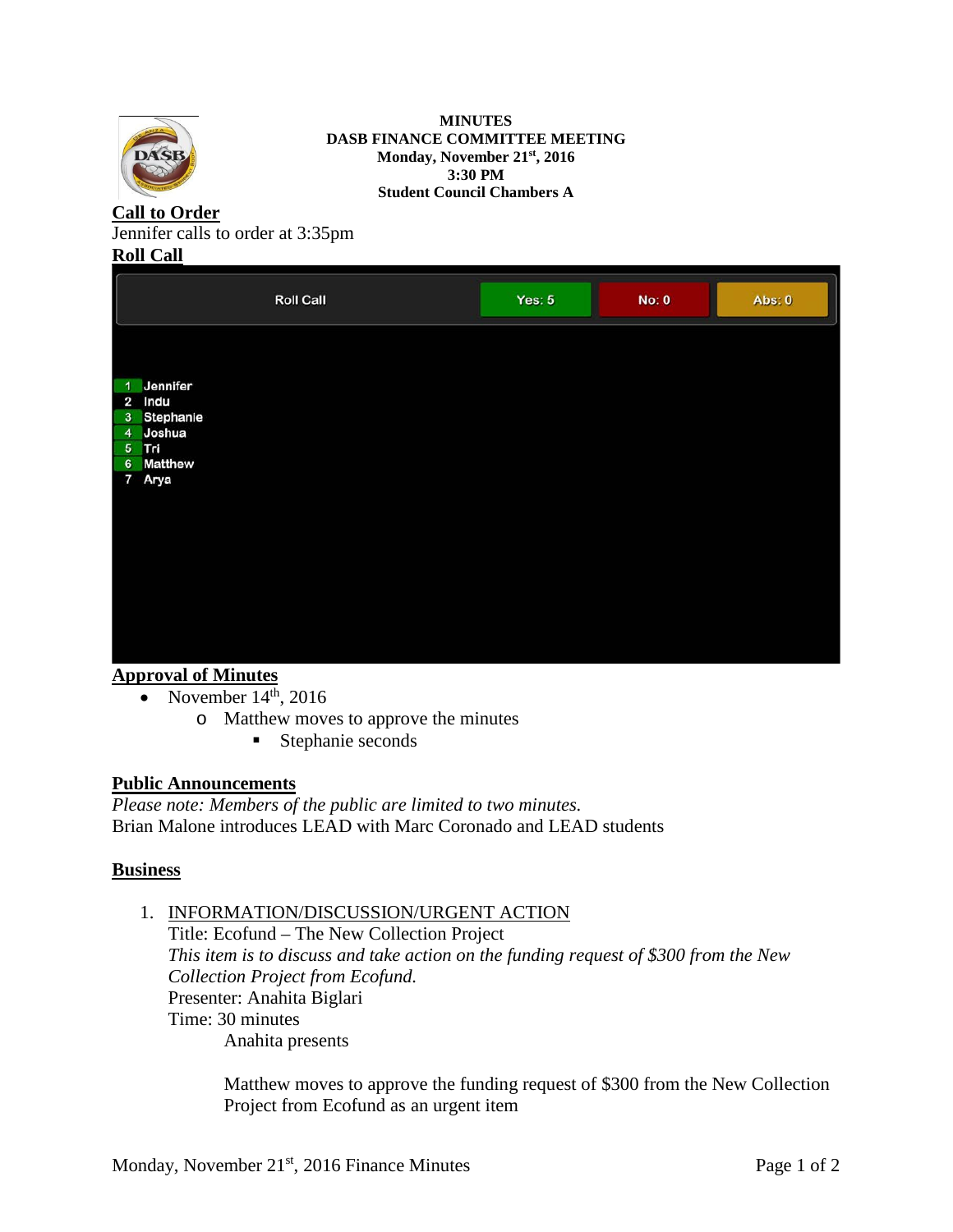

**MINUTES DASB FINANCE COMMITTEE MEETING Monday, November 21st, 2016 3:30 PM Student Council Chambers A**

# **Call to Order**

Jennifer calls to order at 3:35pm

### **Roll Call**

|                                                                                                                           | <b>Roll Call</b> | Yes: $5$ | <b>No: 0</b> | Abs: 0 |
|---------------------------------------------------------------------------------------------------------------------------|------------------|----------|--------------|--------|
| Jennifer<br>1<br>Indu<br>$\overline{2}$<br>3 Stephanie<br>4 Joshua<br>5 Tri<br><b>Matthew</b><br>$6\phantom{.}$<br>7 Arya |                  |          |              |        |

## **Approval of Minutes**

- November  $14<sup>th</sup>$ , 2016
	- o Matthew moves to approve the minutes
		- Stephanie seconds

## **Public Announcements**

*Please note: Members of the public are limited to two minutes.*  Brian Malone introduces LEAD with Marc Coronado and LEAD students

## **Business**

## 1. INFORMATION/DISCUSSION/URGENT ACTION

Title: Ecofund – The New Collection Project *This item is to discuss and take action on the funding request of \$300 from the New Collection Project from Ecofund.* Presenter: Anahita Biglari Time: 30 minutes Anahita presents

Matthew moves to approve the funding request of \$300 from the New Collection Project from Ecofund as an urgent item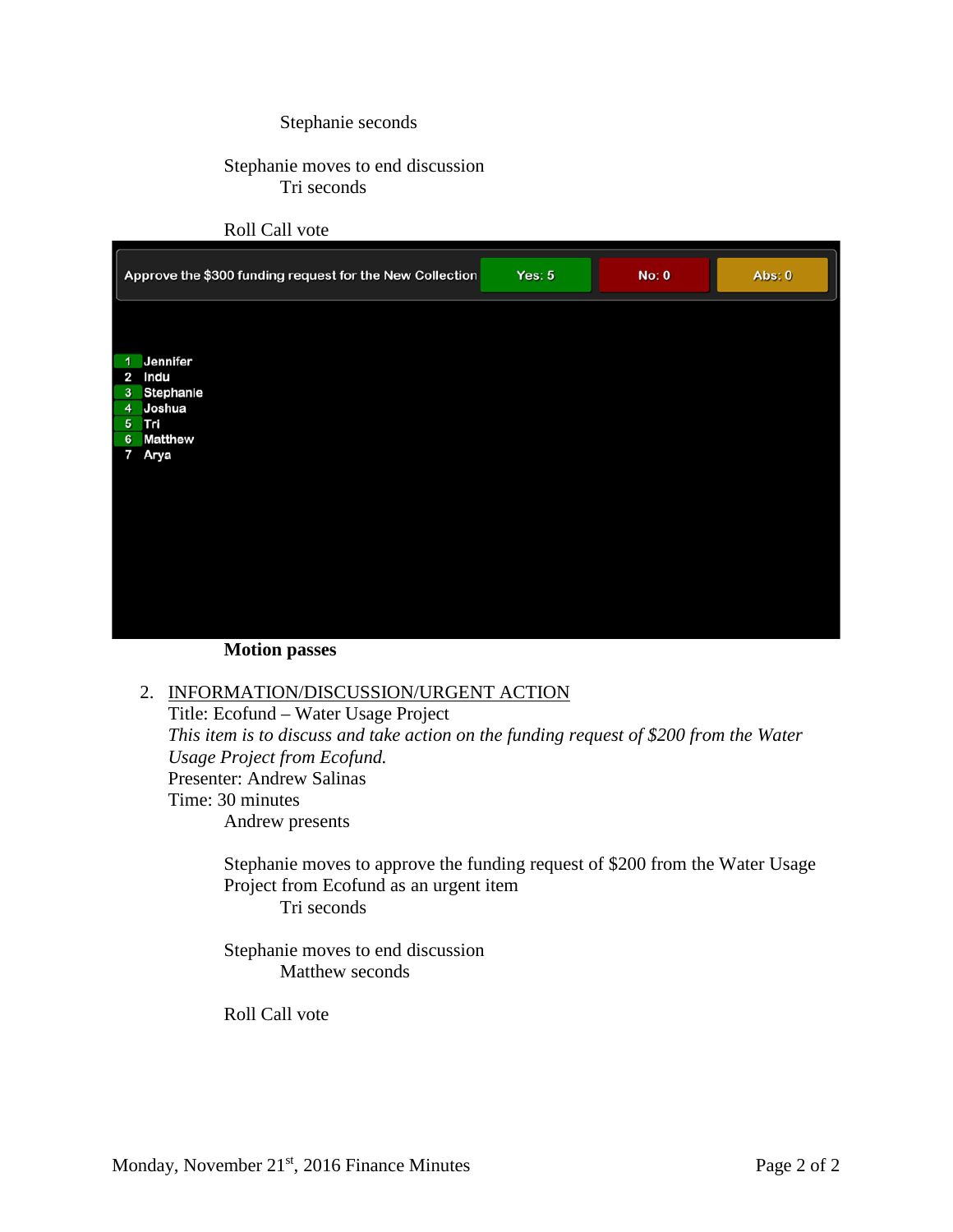#### Stephanie seconds

### Stephanie moves to end discussion Tri seconds

#### Roll Call vote



**Motion passes**

### 2. INFORMATION/DISCUSSION/URGENT ACTION

Title: Ecofund – Water Usage Project *This item is to discuss and take action on the funding request of \$200 from the Water Usage Project from Ecofund.* Presenter: Andrew Salinas Time: 30 minutes Andrew presents

Stephanie moves to approve the funding request of \$200 from the Water Usage Project from Ecofund as an urgent item Tri seconds

Stephanie moves to end discussion Matthew seconds

Roll Call vote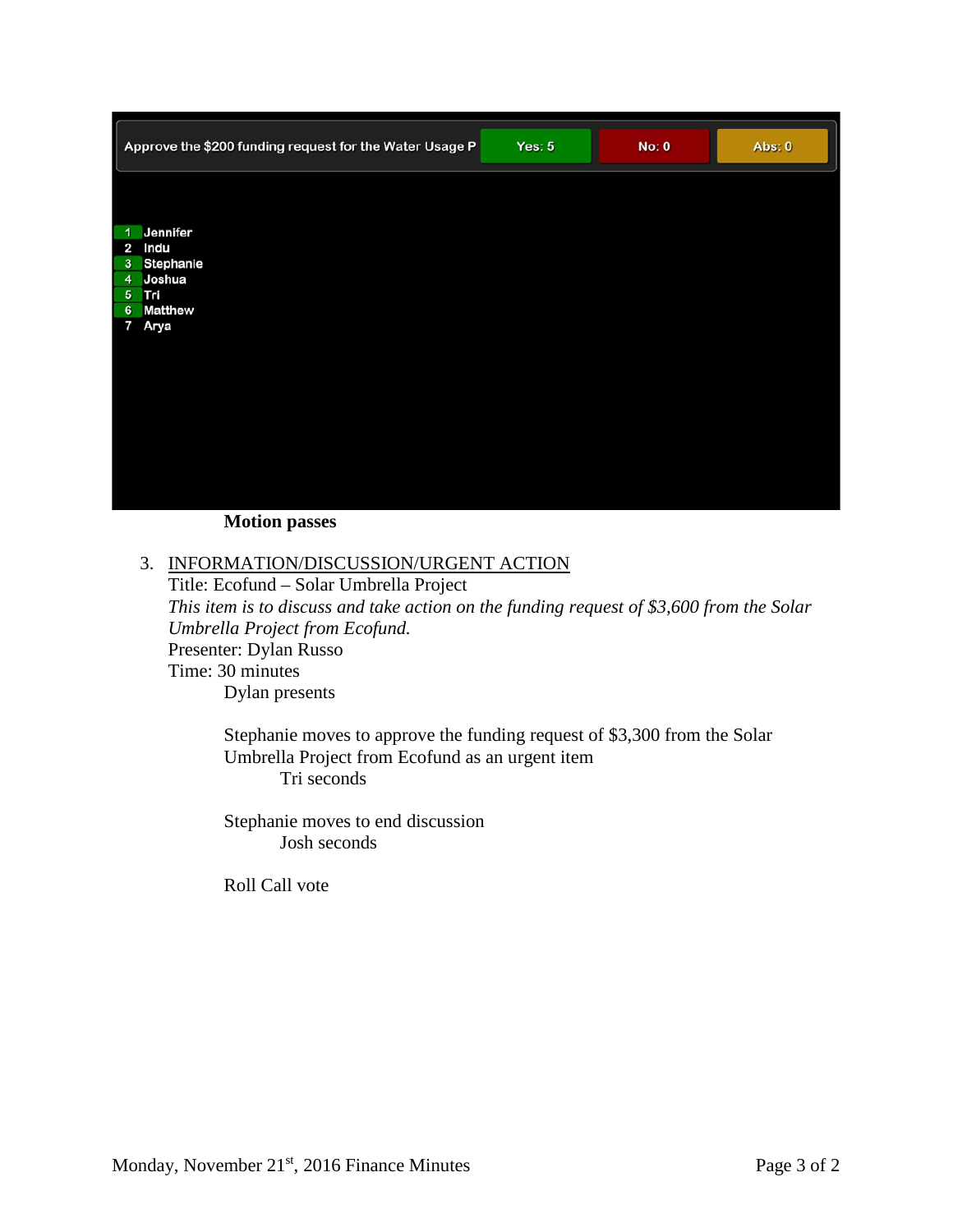|                         | Approve the \$200 funding request for the Water Usage P | Yes: $5$ | No: 0 | Abs: 0 |
|-------------------------|---------------------------------------------------------|----------|-------|--------|
|                         |                                                         |          |       |        |
| $\blacktriangleleft$    | Jennifer                                                |          |       |        |
| $\mathbf{3}$            | 2 Indu                                                  |          |       |        |
|                         | Stephanie<br>4 Joshua                                   |          |       |        |
|                         | 5 Tri                                                   |          |       |        |
| 6                       | <b>Matthew</b>                                          |          |       |        |
| $\overline{\mathbf{z}}$ | Arya                                                    |          |       |        |
|                         |                                                         |          |       |        |
|                         |                                                         |          |       |        |
|                         |                                                         |          |       |        |
|                         |                                                         |          |       |        |
|                         |                                                         |          |       |        |
|                         |                                                         |          |       |        |
|                         |                                                         |          |       |        |
|                         |                                                         |          |       |        |
|                         |                                                         |          |       |        |

#### **Motion passes**

#### 3. INFORMATION/DISCUSSION/URGENT ACTION

Title: Ecofund – Solar Umbrella Project *This item is to discuss and take action on the funding request of \$3,600 from the Solar Umbrella Project from Ecofund.* Presenter: Dylan Russo Time: 30 minutes Dylan presents

Stephanie moves to approve the funding request of \$3,300 from the Solar Umbrella Project from Ecofund as an urgent item Tri seconds

Stephanie moves to end discussion Josh seconds

Roll Call vote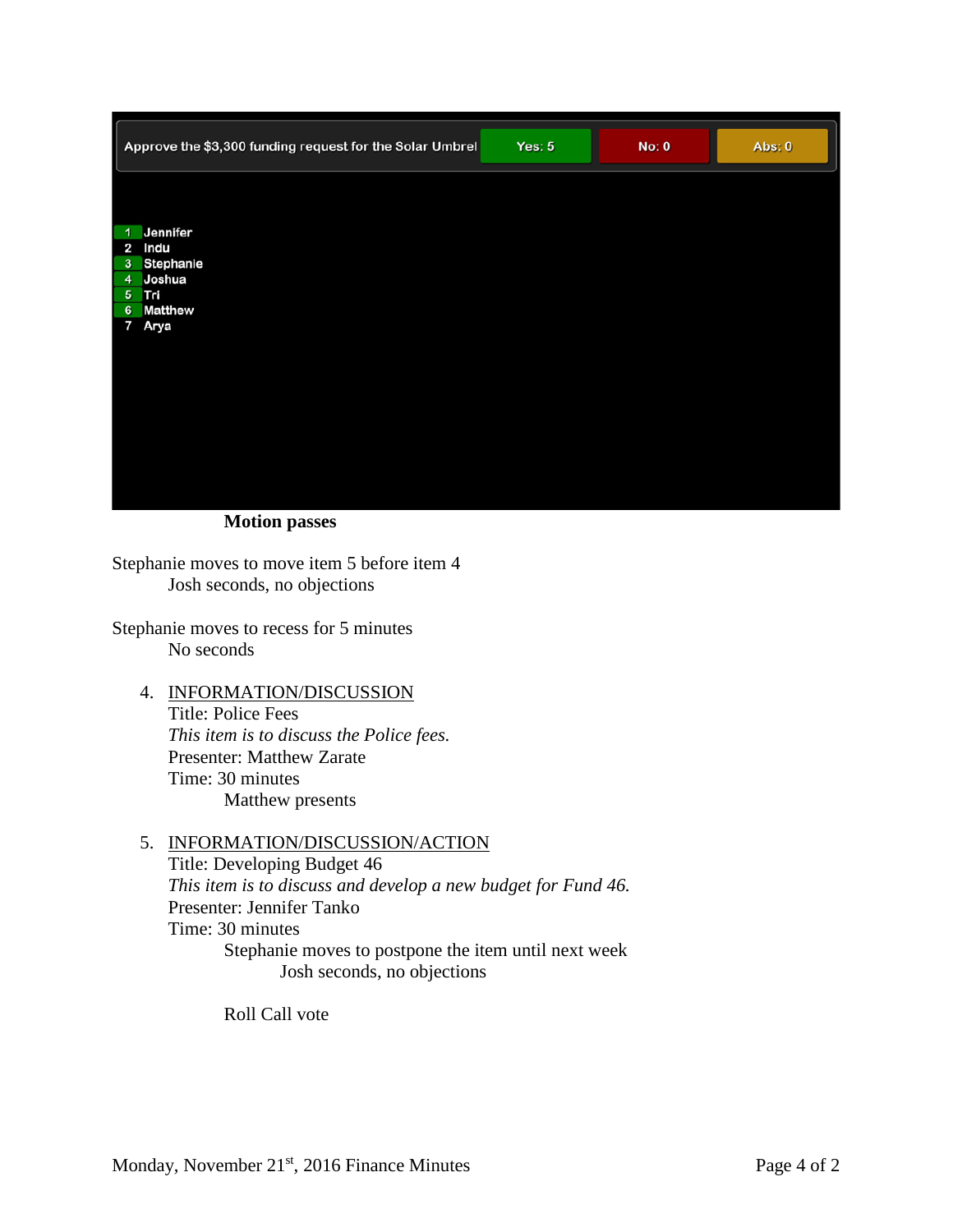| Approve the \$3,300 funding request for the Solar Umbrel | Yes: $5$ | No: 0 | Abs: 0 |
|----------------------------------------------------------|----------|-------|--------|
|                                                          |          |       |        |
| Jennifer<br>$\overline{1}$                               |          |       |        |
| 2 Indu<br>3 Stephanie                                    |          |       |        |
| 4 Joshua                                                 |          |       |        |
| 5 Tri                                                    |          |       |        |
| <b>Matthew</b><br>$6\phantom{1}6$                        |          |       |        |
| $\overline{7}$<br>Arya                                   |          |       |        |
|                                                          |          |       |        |
|                                                          |          |       |        |
|                                                          |          |       |        |
|                                                          |          |       |        |
|                                                          |          |       |        |
|                                                          |          |       |        |
|                                                          |          |       |        |
|                                                          |          |       |        |
|                                                          |          |       |        |

**Motion passes**

Stephanie moves to move item 5 before item 4 Josh seconds, no objections

Stephanie moves to recess for 5 minutes No seconds

4. INFORMATION/DISCUSSION Title: Police Fees *This item is to discuss the Police fees.* Presenter: Matthew Zarate Time: 30 minutes Matthew presents

#### 5. INFORMATION/DISCUSSION/ACTION

Title: Developing Budget 46 *This item is to discuss and develop a new budget for Fund 46.* Presenter: Jennifer Tanko Time: 30 minutes Stephanie moves to postpone the item until next week Josh seconds, no objections

Roll Call vote